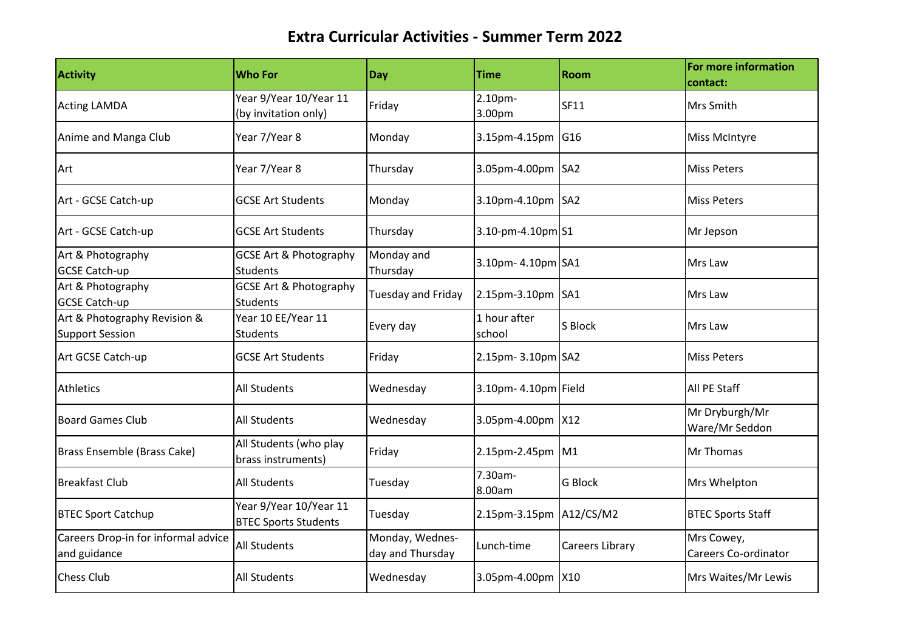| <b>Activity</b>                                        | <b>Who For</b>                                        | Day                                 | <b>Time</b>             | <b>Room</b>     | For more information<br>contact:          |
|--------------------------------------------------------|-------------------------------------------------------|-------------------------------------|-------------------------|-----------------|-------------------------------------------|
| <b>Acting LAMDA</b>                                    | Year 9/Year 10/Year 11<br>(by invitation only)        | Friday                              | 2.10pm-<br>3.00pm       | <b>SF11</b>     | Mrs Smith                                 |
| Anime and Manga Club                                   | Year 7/Year 8                                         | Monday                              | 3.15pm-4.15pm G16       |                 | Miss McIntyre                             |
| Art                                                    | Year 7/Year 8                                         | Thursday                            | 3.05pm-4.00pm SA2       |                 | <b>Miss Peters</b>                        |
| Art - GCSE Catch-up                                    | <b>GCSE Art Students</b>                              | Monday                              | 3.10pm-4.10pm SA2       |                 | <b>Miss Peters</b>                        |
| Art - GCSE Catch-up                                    | <b>GCSE Art Students</b>                              | Thursday                            | 3.10-pm-4.10pm S1       |                 | Mr Jepson                                 |
| Art & Photography<br><b>GCSE Catch-up</b>              | <b>GCSE Art &amp; Photography</b><br><b>Students</b>  | Monday and<br>Thursday              | 3.10pm- 4.10pm SA1      |                 | Mrs Law                                   |
| Art & Photography<br><b>GCSE Catch-up</b>              | <b>GCSE Art &amp; Photography</b><br><b>Students</b>  | <b>Tuesday and Friday</b>           | 2.15pm-3.10pm SA1       |                 | Mrs Law                                   |
| Art & Photography Revision &<br><b>Support Session</b> | Year 10 EE/Year 11<br><b>Students</b>                 | Every day                           | 1 hour after<br>school  | S Block         | Mrs Law                                   |
| Art GCSE Catch-up                                      | <b>GCSE Art Students</b>                              | Friday                              | 2.15pm- 3.10pm SA2      |                 | <b>Miss Peters</b>                        |
| <b>Athletics</b>                                       | <b>All Students</b>                                   | Wednesday                           | 3.10pm- 4.10pm Field    |                 | All PE Staff                              |
| <b>Board Games Club</b>                                | <b>All Students</b>                                   | Wednesday                           | 3.05pm-4.00pm X12       |                 | Mr Dryburgh/Mr<br>Ware/Mr Seddon          |
| Brass Ensemble (Brass Cake)                            | All Students (who play<br>brass instruments)          | Friday                              | 2.15pm-2.45pm M1        |                 | <b>Mr Thomas</b>                          |
| <b>Breakfast Club</b>                                  | <b>All Students</b>                                   | Tuesday                             | 7.30am-<br>8.00am       | <b>G Block</b>  | Mrs Whelpton                              |
| <b>BTEC Sport Catchup</b>                              | Year 9/Year 10/Year 11<br><b>BTEC Sports Students</b> | Tuesday                             | 2.15pm-3.15pm A12/CS/M2 |                 | <b>BTEC Sports Staff</b>                  |
| Careers Drop-in for informal advice<br>and guidance    | <b>All Students</b>                                   | Monday, Wednes-<br>day and Thursday | Lunch-time              | Careers Library | Mrs Cowey,<br><b>Careers Co-ordinator</b> |
| <b>Chess Club</b>                                      | <b>All Students</b>                                   | Wednesday                           | 3.05pm-4.00pm X10       |                 | Mrs Waites/Mr Lewis                       |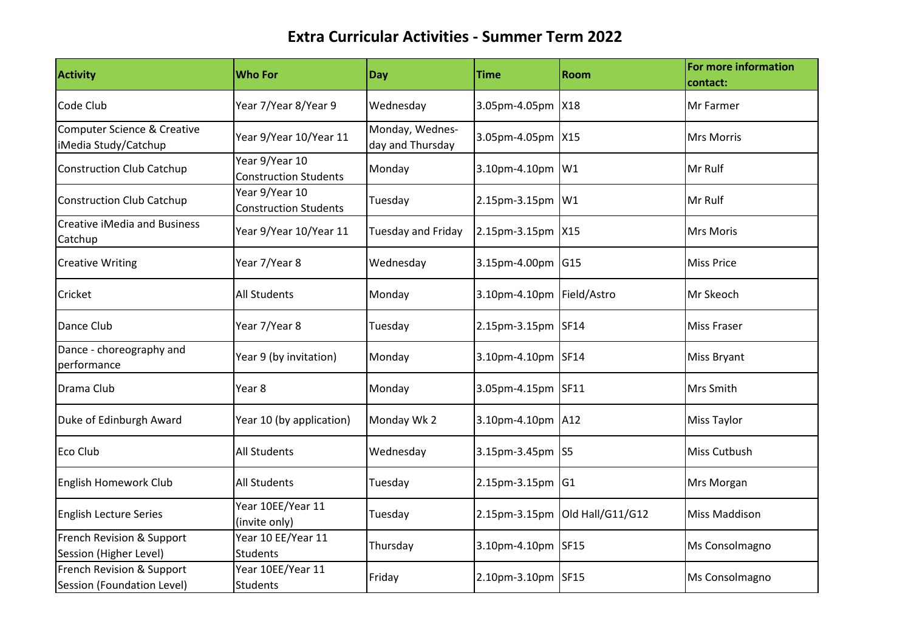| <b>Activity</b>                                                | <b>Who For</b>                                 | <b>Day</b>                          | <b>Time</b>               | <b>Room</b>                    | For more information<br>contact: |
|----------------------------------------------------------------|------------------------------------------------|-------------------------------------|---------------------------|--------------------------------|----------------------------------|
| Code Club                                                      | Year 7/Year 8/Year 9                           | Wednesday                           | 3.05pm-4.05pm X18         |                                | Mr Farmer                        |
| <b>Computer Science &amp; Creative</b><br>iMedia Study/Catchup | Year 9/Year 10/Year 11                         | Monday, Wednes-<br>day and Thursday | 3.05pm-4.05pm X15         |                                | <b>Mrs Morris</b>                |
| <b>Construction Club Catchup</b>                               | Year 9/Year 10<br><b>Construction Students</b> | Monday                              | 3.10pm-4.10pm W1          |                                | Mr Rulf                          |
| <b>Construction Club Catchup</b>                               | Year 9/Year 10<br><b>Construction Students</b> | Tuesday                             | 2.15pm-3.15pm W1          |                                | Mr Rulf                          |
| <b>Creative iMedia and Business</b><br>Catchup                 | Year 9/Year 10/Year 11                         | <b>Tuesday and Friday</b>           | 2.15pm-3.15pm X15         |                                | <b>Mrs Moris</b>                 |
| <b>Creative Writing</b>                                        | Year 7/Year 8                                  | Wednesday                           | 3.15pm-4.00pm G15         |                                | <b>Miss Price</b>                |
| Cricket                                                        | <b>All Students</b>                            | Monday                              | 3.10pm-4.10pm Field/Astro |                                | Mr Skeoch                        |
| Dance Club                                                     | Year 7/Year 8                                  | Tuesday                             | 2.15pm-3.15pm SF14        |                                | <b>Miss Fraser</b>               |
| Dance - choreography and<br>performance                        | Year 9 (by invitation)                         | Monday                              | 3.10pm-4.10pm SF14        |                                | <b>Miss Bryant</b>               |
| Drama Club                                                     | Year 8                                         | Monday                              | 3.05pm-4.15pm SF11        |                                | Mrs Smith                        |
| Duke of Edinburgh Award                                        | Year 10 (by application)                       | Monday Wk 2                         | 3.10pm-4.10pm A12         |                                | <b>Miss Taylor</b>               |
| Eco Club                                                       | <b>All Students</b>                            | Wednesday                           | 3.15pm-3.45pm S5          |                                | Miss Cutbush                     |
| English Homework Club                                          | <b>All Students</b>                            | Tuesday                             | 2.15pm-3.15pm G1          |                                | Mrs Morgan                       |
| <b>English Lecture Series</b>                                  | Year 10EE/Year 11<br>(invite only)             | Tuesday                             |                           | 2.15pm-3.15pm Old Hall/G11/G12 | <b>Miss Maddison</b>             |
| French Revision & Support<br>Session (Higher Level)            | Year 10 EE/Year 11<br><b>Students</b>          | Thursday                            | 3.10pm-4.10pm SF15        |                                | Ms Consolmagno                   |
| French Revision & Support<br>Session (Foundation Level)        | Year 10EE/Year 11<br><b>Students</b>           | Friday                              | 2.10pm-3.10pm SF15        |                                | Ms Consolmagno                   |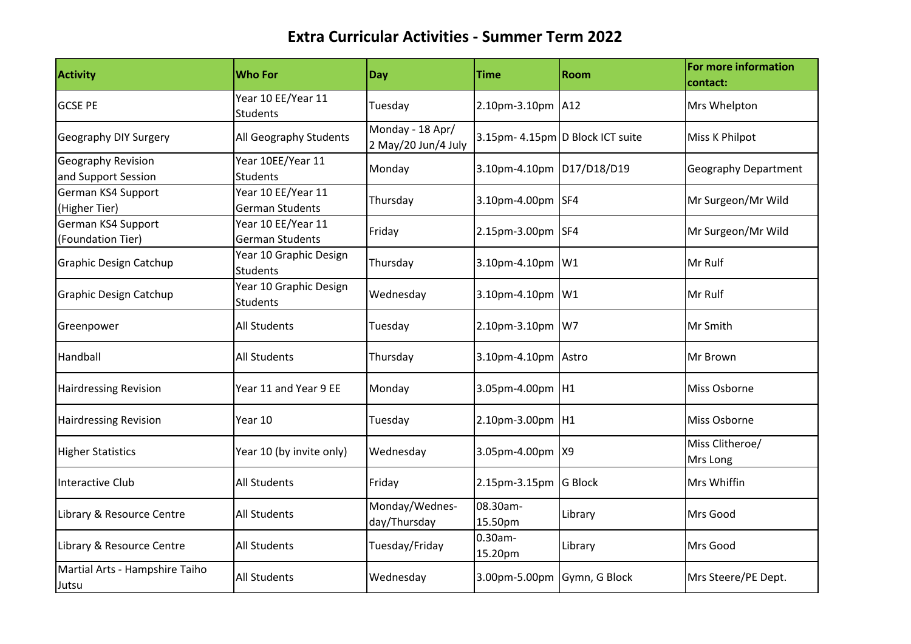| Activity                                         | <b>Who For</b>                               | Day                                     | <b>Time</b>                 | <b>Room</b>                      | For more information<br>contact: |
|--------------------------------------------------|----------------------------------------------|-----------------------------------------|-----------------------------|----------------------------------|----------------------------------|
| <b>GCSE PE</b>                                   | Year 10 EE/Year 11<br><b>Students</b>        | Tuesday                                 | 2.10pm-3.10pm A12           |                                  | Mrs Whelpton                     |
| Geography DIY Surgery                            | All Geography Students                       | Monday - 18 Apr/<br>2 May/20 Jun/4 July |                             | 3.15pm- 4.15pm D Block ICT suite | Miss K Philpot                   |
| <b>Geography Revision</b><br>and Support Session | Year 10EE/Year 11<br><b>Students</b>         | Monday                                  | 3.10pm-4.10pm D17/D18/D19   |                                  | <b>Geography Department</b>      |
| German KS4 Support<br>(Higher Tier)              | Year 10 EE/Year 11<br>German Students        | Thursday                                | 3.10pm-4.00pm SF4           |                                  | Mr Surgeon/Mr Wild               |
| German KS4 Support<br>(Foundation Tier)          | Year 10 EE/Year 11<br><b>German Students</b> | Friday                                  | 2.15pm-3.00pm SF4           |                                  | Mr Surgeon/Mr Wild               |
| <b>Graphic Design Catchup</b>                    | Year 10 Graphic Design<br><b>Students</b>    | Thursday                                | 3.10pm-4.10pm W1            |                                  | Mr Rulf                          |
| Graphic Design Catchup                           | Year 10 Graphic Design<br>Students           | Wednesday                               | 3.10pm-4.10pm W1            |                                  | Mr Rulf                          |
| Greenpower                                       | <b>All Students</b>                          | Tuesday                                 | 2.10pm-3.10pm W7            |                                  | Mr Smith                         |
| Handball                                         | <b>All Students</b>                          | Thursday                                | 3.10pm-4.10pm Astro         |                                  | Mr Brown                         |
| <b>Hairdressing Revision</b>                     | Year 11 and Year 9 EE                        | Monday                                  | 3.05pm-4.00pm H1            |                                  | Miss Osborne                     |
| <b>Hairdressing Revision</b>                     | Year 10                                      | Tuesday                                 | 2.10pm-3.00pm H1            |                                  | Miss Osborne                     |
| <b>Higher Statistics</b>                         | Year 10 (by invite only)                     | Wednesday                               | 3.05pm-4.00pm X9            |                                  | Miss Clitheroe/<br>Mrs Long      |
| <b>Interactive Club</b>                          | <b>All Students</b>                          | Friday                                  | 2.15pm-3.15pm G Block       |                                  | <b>Mrs Whiffin</b>               |
| Library & Resource Centre                        | All Students                                 | Monday/Wednes-<br>day/Thursday          | 08.30am-<br>15.50pm         | Library                          | Mrs Good                         |
| Library & Resource Centre                        | <b>All Students</b>                          | Tuesday/Friday                          | 0.30am-<br>15.20pm          | Library                          | Mrs Good                         |
| Martial Arts - Hampshire Taiho<br>Jutsu          | <b>All Students</b>                          | Wednesday                               | 3.00pm-5.00pm Gymn, G Block |                                  | Mrs Steere/PE Dept.              |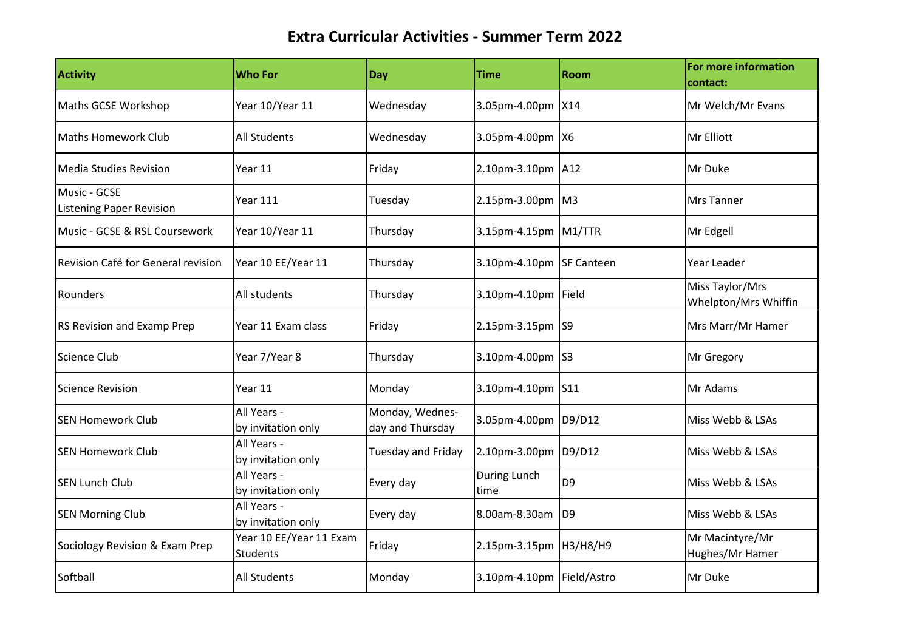| <b>Activity</b>                                 | <b>Who For</b>                             | Day                                 | <b>Time</b>               | Room           | For more information<br>contact:        |
|-------------------------------------------------|--------------------------------------------|-------------------------------------|---------------------------|----------------|-----------------------------------------|
| Maths GCSE Workshop                             | Year 10/Year 11                            | Wednesday                           | 3.05pm-4.00pm X14         |                | Mr Welch/Mr Evans                       |
| Maths Homework Club                             | <b>All Students</b>                        | Wednesday                           | 3.05pm-4.00pm X6          |                | Mr Elliott                              |
| <b>Media Studies Revision</b>                   | Year 11                                    | Friday                              | 2.10pm-3.10pm A12         |                | Mr Duke                                 |
| Music - GCSE<br><b>Listening Paper Revision</b> | <b>Year 111</b>                            | Tuesday                             | 2.15pm-3.00pm M3          |                | <b>Mrs Tanner</b>                       |
| Music - GCSE & RSL Coursework                   | Year 10/Year 11                            | Thursday                            | 3.15pm-4.15pm M1/TTR      |                | Mr Edgell                               |
| Revision Café for General revision              | Year 10 EE/Year 11                         | Thursday                            | 3.10pm-4.10pm SF Canteen  |                | Year Leader                             |
| Rounders                                        | All students                               | Thursday                            | 3.10pm-4.10pm Field       |                | Miss Taylor/Mrs<br>Whelpton/Mrs Whiffin |
| RS Revision and Examp Prep                      | Year 11 Exam class                         | Friday                              | 2.15pm-3.15pm S9          |                | Mrs Marr/Mr Hamer                       |
| Science Club                                    | Year 7/Year 8                              | Thursday                            | 3.10pm-4.00pm S3          |                | Mr Gregory                              |
| <b>Science Revision</b>                         | Year 11                                    | Monday                              | 3.10pm-4.10pm S11         |                | Mr Adams                                |
| <b>SEN Homework Club</b>                        | All Years -<br>by invitation only          | Monday, Wednes-<br>day and Thursday | 3.05pm-4.00pm             | D9/D12         | Miss Webb & LSAs                        |
| <b>SEN Homework Club</b>                        | All Years -<br>by invitation only          | <b>Tuesday and Friday</b>           | 2.10pm-3.00pm D9/D12      |                | Miss Webb & LSAs                        |
| <b>SEN Lunch Club</b>                           | All Years -<br>by invitation only          | Every day                           | During Lunch<br>time      | D <sub>9</sub> | Miss Webb & LSAs                        |
| <b>SEN Morning Club</b>                         | All Years -<br>by invitation only          | Every day                           | 8.00am-8.30am D9          |                | Miss Webb & LSAs                        |
| Sociology Revision & Exam Prep                  | Year 10 EE/Year 11 Exam<br><b>Students</b> | Friday                              | 2.15pm-3.15pm H3/H8/H9    |                | Mr Macintyre/Mr<br>Hughes/Mr Hamer      |
| Softball                                        | <b>All Students</b>                        | Monday                              | 3.10pm-4.10pm Field/Astro |                | Mr Duke                                 |